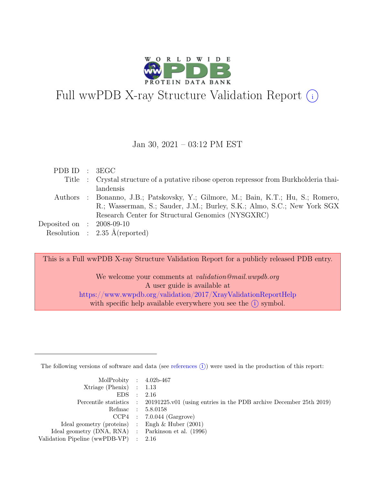

# Full wwPDB X-ray Structure Validation Report  $(i)$

#### Jan 30, 2021 – 03:12 PM EST

| PDB ID : 3EGC               |                                                                                         |
|-----------------------------|-----------------------------------------------------------------------------------------|
|                             | Title : Crystal structure of a putative ribose operon repressor from Burkholderia thai- |
|                             | landensis                                                                               |
|                             | Authors : Bonanno, J.B.; Patskovsky, Y.; Gilmore, M.; Bain, K.T.; Hu, S.; Romero,       |
|                             | R.; Wasserman, S.; Sauder, J.M.; Burley, S.K.; Almo, S.C.; New York SGX                 |
|                             | Research Center for Structural Genomics (NYSGXRC)                                       |
| Deposited on : $2008-09-10$ |                                                                                         |
|                             | Resolution : $2.35 \text{ Å}$ (reported)                                                |

This is a Full wwPDB X-ray Structure Validation Report for a publicly released PDB entry.

We welcome your comments at *validation@mail.wwpdb.org* A user guide is available at <https://www.wwpdb.org/validation/2017/XrayValidationReportHelp> with specific help available everywhere you see the  $(i)$  symbol.

The following versions of software and data (see [references](https://www.wwpdb.org/validation/2017/XrayValidationReportHelp#references)  $(i)$ ) were used in the production of this report:

| MolProbity : $4.02b-467$                            |                                                                                            |
|-----------------------------------------------------|--------------------------------------------------------------------------------------------|
| Xtriage (Phenix) $: 1.13$                           |                                                                                            |
| EDS : 2.16                                          |                                                                                            |
|                                                     | Percentile statistics : 20191225.v01 (using entries in the PDB archive December 25th 2019) |
|                                                     | Refmac : 5.8.0158                                                                          |
|                                                     | $CCP4$ : 7.0.044 (Gargrove)                                                                |
| Ideal geometry (proteins) : Engh $\&$ Huber (2001)  |                                                                                            |
| Ideal geometry (DNA, RNA) : Parkinson et al. (1996) |                                                                                            |
| Validation Pipeline (wwPDB-VP) : 2.16               |                                                                                            |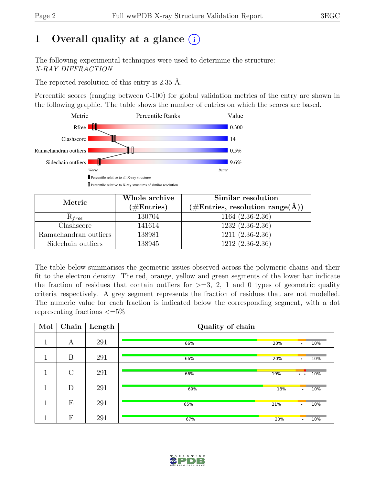# 1 Overall quality at a glance  $(i)$

The following experimental techniques were used to determine the structure: X-RAY DIFFRACTION

The reported resolution of this entry is 2.35 Å.

Percentile scores (ranging between 0-100) for global validation metrics of the entry are shown in the following graphic. The table shows the number of entries on which the scores are based.



| Metric                | Whole archive | Similar resolution                                  |  |  |
|-----------------------|---------------|-----------------------------------------------------|--|--|
|                       | $(\#Entries)$ | $(\# \text{Entries}, \text{resolution range}(\AA))$ |  |  |
| $R_{free}$            | 130704        | $1164(2.36-2.36)$                                   |  |  |
| Clashscore            | 141614        | $1232(2.36-2.36)$                                   |  |  |
| Ramachandran outliers | 138981        | $1211 (2.36 - 2.36)$                                |  |  |
| Sidechain outliers    | 138945        | $1212(2.36-2.36)$                                   |  |  |

The table below summarises the geometric issues observed across the polymeric chains and their fit to the electron density. The red, orange, yellow and green segments of the lower bar indicate the fraction of residues that contain outliers for  $>=$  3, 2, 1 and 0 types of geometric quality criteria respectively. A grey segment represents the fraction of residues that are not modelled. The numeric value for each fraction is indicated below the corresponding segment, with a dot representing fractions  $\epsilon = 5\%$ 

| Mol          | Chain   | Length | Quality of chain |     |                      |     |  |
|--------------|---------|--------|------------------|-----|----------------------|-----|--|
| 1            | Α       | 291    | 66%              | 20% | ٠                    | 10% |  |
|              |         |        |                  |     |                      |     |  |
| п            | B       | 291    | 66%              | 20% | ٠                    | 10% |  |
| 1            | $\rm C$ | 291    | 66%              | 19% | $\ddot{\phantom{0}}$ | 10% |  |
|              |         |        |                  |     |                      |     |  |
| $\mathbf{1}$ | D       | 291    | 69%              | 18% | $\bullet$            | 10% |  |
| 1            |         |        |                  |     |                      |     |  |
|              | Е       | 291    | 65%              | 21% | $\bullet$            | 10% |  |
|              |         |        |                  |     |                      |     |  |
|              | F       | 291    | 67%              | 20% | ٠                    | 10% |  |

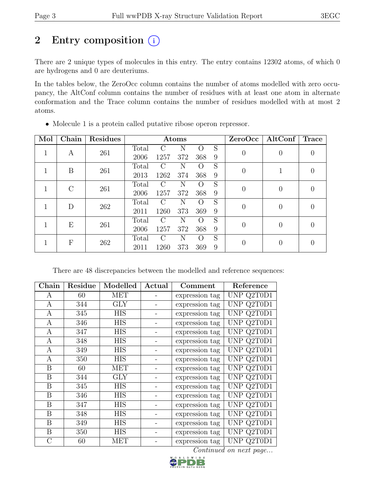# 2 Entry composition  $(i)$

There are 2 unique types of molecules in this entry. The entry contains 12302 atoms, of which 0 are hydrogens and 0 are deuteriums.

In the tables below, the ZeroOcc column contains the number of atoms modelled with zero occupancy, the AltConf column contains the number of residues with at least one atom in alternate conformation and the Trace column contains the number of residues modelled with at most 2 atoms.

| Mol | Chain   | <b>Residues</b> |       |                             | Atoms |                  |   |                | ZeroOcc   AltConf | Trace |
|-----|---------|-----------------|-------|-----------------------------|-------|------------------|---|----------------|-------------------|-------|
|     | A       | 261             | Total | $\mathcal{C}$               | Ν     | $\left( \right)$ | S | $\theta$       | $\left( \right)$  |       |
|     |         |                 | 2006  | 1257                        | 372   | 368              | 9 |                |                   |       |
|     | B       | 261             | Total | $\mathcal{C}$               | Ν     | $\left( \right)$ | S | $\theta$       |                   |       |
|     |         |                 | 2013  | 1262                        | 374   | 368              | 9 |                |                   |       |
|     | $\rm C$ | 261             | Total | $\mathcal{C}_{\mathcal{C}}$ | N     | $\left( \right)$ | S | $\theta$       | $\Omega$          |       |
|     |         |                 | 2006  | 1257                        | 372   | 368              | 9 |                |                   |       |
|     | D       | 262             | Total | $\Gamma$                    | N     | $\left( \right)$ | S | $\overline{0}$ | $\overline{0}$    |       |
|     |         |                 | 2011  | 1260                        | 373   | 369              | 9 |                |                   |       |
|     | E       | 261             | Total | C                           | Ν     | $\left( \right)$ | S | $\theta$       | 0                 |       |
|     |         |                 | 2006  | 1257                        | 372   | 368              | 9 |                |                   |       |
|     | F       | 262             | Total | C                           | N     | $\left( \right)$ | S | $\theta$       |                   |       |
|     |         |                 | 2011  | 1260                        | 373   | 369              | 9 |                |                   |       |

• Molecule 1 is a protein called putative ribose operon repressor.

There are 48 discrepancies between the modelled and reference sequences:

| $Chain$      | Residue | Modelled   | Actual | Comment        | Reference                       |
|--------------|---------|------------|--------|----------------|---------------------------------|
| A            | 60      | MET        |        | expression tag | UNP Q2T0D1                      |
| A            | 344     | <b>GLY</b> |        | expression tag | $\overline{\text{UNP Q}}$ 2T0D1 |
| A            | 345     | <b>HIS</b> |        | expression tag | UNP Q2T0D1                      |
| $\mathbf{A}$ | 346     | <b>HIS</b> |        | expression tag | UNP Q2T0D1                      |
| A            | 347     | <b>HIS</b> |        | expression tag | UNP Q2T0D1                      |
| A            | 348     | <b>HIS</b> |        | expression tag | UNP Q2T0D1                      |
| A            | 349     | <b>HIS</b> |        | expression tag | UNP Q2T0D1                      |
| A            | 350     | HIS        |        | expression tag | UNP Q2T0D1                      |
| B            | 60      | <b>MET</b> |        | expression tag | UNP Q2T0D1                      |
| B            | 344     | <b>GLY</b> |        | expression tag | UNP Q2T0D1                      |
| B            | 345     | <b>HIS</b> |        | expression tag | UNP Q2T0D1                      |
| B            | 346     | <b>HIS</b> |        | expression tag | UNP Q2T0D1                      |
| B            | 347     | <b>HIS</b> |        | expression tag | UNP Q2T0D1                      |
| B            | 348     | <b>HIS</b> |        | expression tag | UNP Q2T0D1                      |
| B            | 349     | <b>HIS</b> |        | expression tag | UNP Q2T0D1                      |
| B            | 350     | <b>HIS</b> |        | expression tag | UNP Q2T0D1                      |
| $\mathcal C$ | 60      | MET        |        | expression tag | UNP Q2T0D1                      |

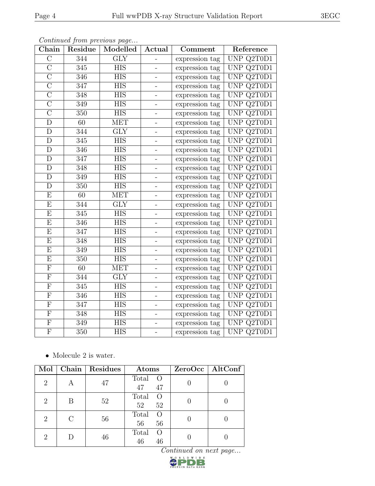| Chain                   | Residue          | Continued from previous page<br>Modelled | Actual                   | Comment        | Reference                      |
|-------------------------|------------------|------------------------------------------|--------------------------|----------------|--------------------------------|
| $\overline{C}$          | 344              | $\overline{\text{GLY}}$                  |                          | expression tag | UNP Q2T0D1                     |
| $\overline{\rm C}$      | 345              | <b>HIS</b>                               |                          | expression tag | UNP Q2T0D1                     |
| $\overline{\rm C}$      | 346              | <b>HIS</b>                               |                          | expression tag | UNP $Q2T0D1$                   |
| $\overline{\rm C}$      | 347              | <b>HIS</b>                               |                          | expression tag | UNP Q2T0D1                     |
| $\overline{\rm C}$      | 348              | <b>HIS</b>                               |                          | expression tag | UNP Q2T0D1                     |
| $\overline{C}$          | 349              | <b>HIS</b>                               |                          | expression tag | UNP Q2T0D1                     |
| $\overline{C}$          | 350              | <b>HIS</b>                               | $\overline{\phantom{0}}$ | expression tag | UNP Q2T0D1                     |
| $\mathbf D$             | 60               | <b>MET</b>                               |                          | expression tag | UNP Q2T0D1                     |
| D                       | 344              | <b>GLY</b>                               |                          | expression tag | UNP Q2T0D1                     |
| $\overline{\rm D}$      | 345              | $\overline{HIS}$                         | -                        | expression tag | UNP Q2T0D1                     |
| D                       | 346              | <b>HIS</b>                               |                          | expression tag | UNP Q2T0D1                     |
| $\mathbf{D}$            | 347              | $\overline{\text{HIS}}$                  |                          | expression tag | UNP Q2T0D1                     |
| $\mathbf D$             | 348              | <b>HIS</b>                               | $\overline{\phantom{0}}$ | expression tag | UNP Q2T0D1                     |
| $\mathbf D$             | 349              | <b>HIS</b>                               |                          | expression tag | UNP Q2T0D1                     |
| $\overline{\rm D}$      | 350              | <b>HIS</b>                               |                          | expression tag | UNP Q2T0D1                     |
| E                       | 60               | <b>MET</b>                               | -                        | expression tag | UNP Q2T0D1                     |
| E                       | 344              | $\overline{\text{GLY}}$                  |                          | expression tag | UNP Q2T0D1                     |
| E                       | 345              | <b>HIS</b>                               |                          | expression tag | UNP Q2T0D1                     |
| E                       | 346              | <b>HIS</b>                               |                          | expression tag | UNP Q2T0D1                     |
| E                       | 347              | <b>HIS</b>                               | $\overline{\phantom{0}}$ | expression tag | UNP Q2T0D1                     |
| E                       | 348              | <b>HIS</b>                               |                          | expression tag | UNP Q2T0D1                     |
| $\overline{\mathrm{E}}$ | 349              | <b>HIS</b>                               |                          | expression tag | UNP Q2T0D1                     |
| E                       | 350              | <b>HIS</b>                               | $\overline{\phantom{0}}$ | expression tag | UNP Q2T0D1                     |
| $\overline{\mathrm{F}}$ | 60               | <b>MET</b>                               | $\overline{a}$           | expression tag | UNP Q2T0D1                     |
| $\boldsymbol{F}$        | 344              | <b>GLY</b>                               |                          | expression tag | $\overline{\text{UNP Q2T0D1}}$ |
| $\boldsymbol{F}$        | 345              | <b>HIS</b>                               | -                        | expression tag | UNP Q2T0D1                     |
| $\overline{F}$          | 346              | <b>HIS</b>                               |                          | expression tag | UNP Q2T0D1                     |
| $\overline{F}$          | $\overline{3}47$ | <b>HIS</b>                               |                          | expression tag | UNP Q2T0D1                     |
| $\overline{F}$          | $\overline{3}48$ | <b>HIS</b>                               |                          | expression tag | UNP Q2T0D1                     |
| $\mathbf F$             | 349              | <b>HIS</b>                               |                          | expression tag | UNP Q2T0D1                     |
| $\overline{F}$          | 350              | <b>HIS</b>                               |                          | expression tag | UNP Q2T0D1                     |

• Molecule 2 is water.

| Mol            |   | Chain   Residues | Atoms                                   | ZeroOcc   AltConf |
|----------------|---|------------------|-----------------------------------------|-------------------|
| $\overline{2}$ |   | 47               | Total<br>$\circ$ O<br>47<br>47          |                   |
| $\overline{2}$ | В | 52               | Total<br>$\left($ $\right)$<br>52<br>52 |                   |
| $\overline{2}$ |   | 56               | Total<br>$\circ$<br>56<br>56            |                   |
| 2              |   | 46               | Total<br>$\left( \right)$<br>46<br>46   |                   |

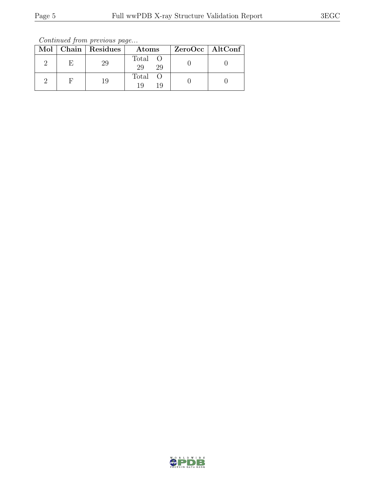Continued from previous page...

|  | Mol   Chain   Residues | Atoms               | ZeroOcc   AltConf |
|--|------------------------|---------------------|-------------------|
|  | 29                     | Total O<br>29<br>29 |                   |
|  | 19                     | Total<br>19<br>19   |                   |

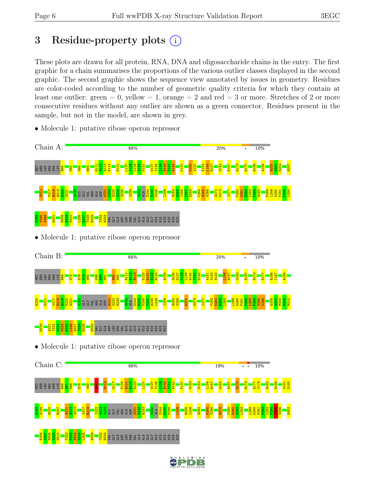# 3 Residue-property plots  $(i)$

These plots are drawn for all protein, RNA, DNA and oligosaccharide chains in the entry. The first graphic for a chain summarises the proportions of the various outlier classes displayed in the second graphic. The second graphic shows the sequence view annotated by issues in geometry. Residues are color-coded according to the number of geometric quality criteria for which they contain at least one outlier: green  $= 0$ , yellow  $= 1$ , orange  $= 2$  and red  $= 3$  or more. Stretches of 2 or more consecutive residues without any outlier are shown as a green connector. Residues present in the sample, but not in the model, are shown in grey.



• Molecule 1: putative ribose operon repressor



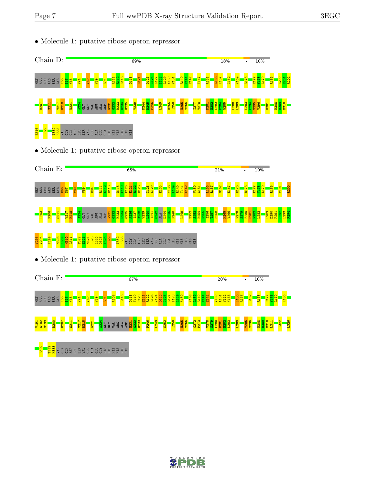• Molecule 1: putative ribose operon repressor



• Molecule 1: putative ribose operon repressor



• Molecule 1: putative ribose operon repressor



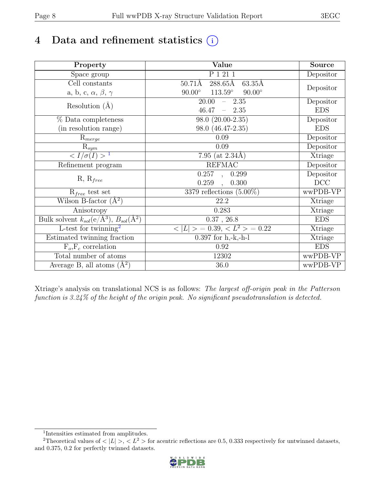# 4 Data and refinement statistics  $(i)$

| Property                                                                          | Value                                             | Source     |
|-----------------------------------------------------------------------------------|---------------------------------------------------|------------|
| Space group                                                                       | P 1 21 1                                          | Depositor  |
| Cell constants                                                                    | 288.65Å<br>$63.35\text{\AA}$<br>$50.71\text{\AA}$ |            |
| a, b, c, $\alpha$ , $\beta$ , $\gamma$                                            | $113.59^\circ$<br>$90.00^\circ$<br>$90.00^\circ$  | Depositor  |
| Resolution $(A)$                                                                  | 20.00<br>$-2.35$                                  | Depositor  |
|                                                                                   | 46.47<br>$-2.35$                                  | <b>EDS</b> |
| % Data completeness                                                               | 98.0 (20.00-2.35)                                 | Depositor  |
| (in resolution range)                                                             | 98.0 (46.47-2.35)                                 | <b>EDS</b> |
| $R_{merge}$                                                                       | 0.09                                              | Depositor  |
| $\mathrm{R}_{sym}$                                                                | 0.09                                              | Depositor  |
| $\sqrt{I/\sigma}(I) > 1$                                                          | 7.95 (at $2.34\text{\AA}$ )                       | Xtriage    |
| Refinement program                                                                | <b>REFMAC</b>                                     | Depositor  |
|                                                                                   | $\overline{0.257}$ ,<br>0.299                     | Depositor  |
| $R, R_{free}$                                                                     | 0.259<br>0.300<br>$\ddot{\phantom{0}}$            | DCC        |
| $R_{free}$ test set                                                               | 3379 reflections $(5.00\%)$                       | wwPDB-VP   |
| Wilson B-factor $(A^2)$                                                           | 22.2                                              | Xtriage    |
| Anisotropy                                                                        | 0.283                                             | Xtriage    |
| Bulk solvent $k_{sol}(\mathrm{e}/\mathrm{A}^3), \overline{B_{sol}(\mathrm{A}^2)}$ | $0.37$ , 26.8                                     | <b>EDS</b> |
| L-test for twinning <sup>2</sup>                                                  | $< L >$ = 0.39, $< L^2 >$ = 0.22                  | Xtriage    |
| Estimated twinning fraction                                                       | $0.397$ for h,-k,-h-l                             | Xtriage    |
| $F_o, F_c$ correlation                                                            | 0.92                                              | <b>EDS</b> |
| Total number of atoms                                                             | 12302                                             | wwPDB-VP   |
| Average B, all atoms $(A^2)$                                                      | $36.0\,$                                          | wwPDB-VP   |

Xtriage's analysis on translational NCS is as follows: The largest off-origin peak in the Patterson function is 3.24% of the height of the origin peak. No significant pseudotranslation is detected.

<sup>&</sup>lt;sup>2</sup>Theoretical values of  $\langle |L| \rangle$ ,  $\langle L^2 \rangle$  for acentric reflections are 0.5, 0.333 respectively for untwinned datasets, and 0.375, 0.2 for perfectly twinned datasets.



<span id="page-7-1"></span><span id="page-7-0"></span><sup>1</sup> Intensities estimated from amplitudes.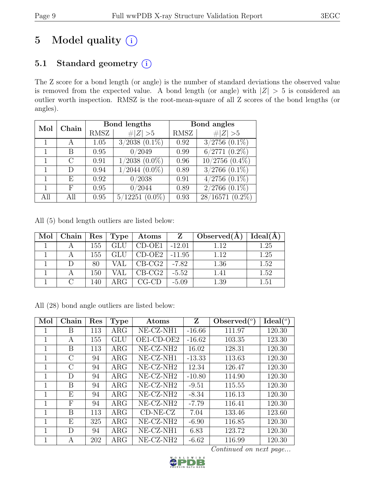# 5 Model quality  $(i)$

# 5.1 Standard geometry (i)

The Z score for a bond length (or angle) is the number of standard deviations the observed value is removed from the expected value. A bond length (or angle) with  $|Z| > 5$  is considered an outlier worth inspection. RMSZ is the root-mean-square of all Z scores of the bond lengths (or angles).

| Mol | Chain |      | Bond lengths        | Bond angles |                               |  |
|-----|-------|------|---------------------|-------------|-------------------------------|--|
|     |       | RMSZ | Z   > 5             | <b>RMSZ</b> | Z   > 5                       |  |
|     |       | 1.05 | $3/2038$ $(0.1\%)$  | 0.92        | $3/2756$ $(0.1\%)$            |  |
|     | В     | 0.95 | 0/2049              | 0.99        | $\overline{6/2771}$ $(0.2\%)$ |  |
|     | С     | 0.91 | $1/2038$ $(0.0\%)$  | 0.96        | $10/2756$ $(0.4\%)$           |  |
|     | D     | 0.94 | $1/2044$ $(0.0\%)$  | 0.89        | $3/2766$ $(0.1\%)$            |  |
|     | E     | 0.92 | 0/2038              | 0.91        | $4/2756$ $(0.1\%)$            |  |
|     | F     | 0.95 | 0/2044              | 0.89        | $2/2766$ $(0.1\%)$            |  |
| All | All   | 0.95 | $5/12251$ $(0.0\%)$ | 0.93        | $28/16571(0.2\%)$             |  |

All (5) bond length outliers are listed below:

| $\text{Mol}$ | Chain |     | Res   Type | $\boldsymbol{\mathrm{Atoms}}$ | Z        | Observed $(A)$ | Ideal(A) |
|--------------|-------|-----|------------|-------------------------------|----------|----------------|----------|
|              |       | 155 | <b>GLU</b> | $CD-OE1$                      | $-12.01$ | 1.12           | 1.25     |
|              |       | 155 | <b>GLU</b> | $CD-OE2$                      | $-11.95$ | 1.12           | 1.25     |
|              |       | 80  | VAL        | $CB-CG2$                      | $-7.82$  | 1.36           | 1.52     |
|              |       | 150 | VAL        | $CB-CG2$                      | $-5.52$  | 1.41           | 1.52     |
|              |       | 140 | ARG        | $CG-CD$                       | $-5.09$  | 1.39           | 1.51     |

All (28) bond angle outliers are listed below:

| Mol          | $Chain$ | Res | <b>Type</b> | Atoms                 | Z        | Observed $(°)$ | $Ideal({}^o)$ |
|--------------|---------|-----|-------------|-----------------------|----------|----------------|---------------|
| 1            | B       | 113 | $\rm{ARG}$  | $NE- CZ-NH1$          | $-16.66$ | 111.97         | 120.30        |
| 1            | А       | 155 | GLU         | OE1-CD-OE2            | $-16.62$ | 103.35         | 123.30        |
| 1            | Β       | 113 | $\rm{ARG}$  | NE-CZ-NH <sub>2</sub> | 16.02    | 128.31         | 120.30        |
| 1            | $\rm C$ | 94  | $\rm{ARG}$  | NE-CZ-NH1             | $-13.33$ | 113.63         | 120.30        |
| $\mathbf{1}$ | $\rm C$ | 94  | $\rm{ARG}$  | $NE- CZ- NH2$         | 12.34    | 126.47         | 120.30        |
| 1            | D       | 94  | $\rm{ARG}$  | NE-CZ-NH <sub>2</sub> | $-10.80$ | 114.90         | 120.30        |
| 1            | B       | 94  | $\rm{ARG}$  | NE-CZ-NH <sub>2</sub> | $-9.51$  | 115.55         | 120.30        |
| $\mathbf 1$  | Ε       | 94  | $\rm{ARG}$  | NE-CZ-NH <sub>2</sub> | $-8.34$  | 116.13         | 120.30        |
| 1            | F       | 94  | $\rm{ARG}$  | NE-CZ-NH <sub>2</sub> | $-7.79$  | 116.41         | 120.30        |
| $\mathbf 1$  | B       | 113 | $\rm{ARG}$  | $CD-NE- CZ$           | 7.04     | 133.46         | 123.60        |
| $\mathbf 1$  | E       | 325 | $\rm{ARG}$  | NE-CZ-NH <sub>2</sub> | $-6.90$  | 116.85         | 120.30        |
| 1            | D       | 94  | $\rm{ARG}$  | NE-CZ-NH1             | 6.83     | 123.72         | 120.30        |
| 1            | А       | 202 | $\rm{ARG}$  | NE-CZ-NH <sub>2</sub> | $-6.62$  | 116.99         | 120.30        |

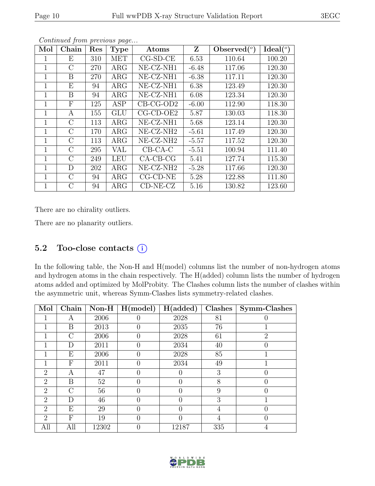| Mol          | Chain         | Res | <b>Type</b> | Atoms                 | Z       | Observed $(°)$ | Ideal $(°)$ |
|--------------|---------------|-----|-------------|-----------------------|---------|----------------|-------------|
| 1            | Ε             | 310 | <b>MET</b>  | $CG-SD-CE$            | 6.53    | 110.64         | 100.20      |
| 1            | $\rm C$       | 270 | $\rm{ARG}$  | NE-CZ-NH1             | $-6.48$ | 117.06         | 120.30      |
| 1            | B             | 270 | $\rm{ARG}$  | NE-CZ-NH1             | $-6.38$ | 117.11         | 120.30      |
| $\mathbf{1}$ | Ε             | 94  | $\rm{ARG}$  | NE-CZ-NH1             | 6.38    | 123.49         | 120.30      |
| 1            | B             | 94  | $\rm{ARG}$  | NE-CZ-NH1             | 6.08    | 123.34         | 120.30      |
| 1            | $\mathbf{F}$  | 125 | ASP         | $CB-CG-OD2$           | $-6.00$ | 112.90         | 118.30      |
| $\mathbf{1}$ | A             | 155 | <b>GLU</b>  | $CG$ - $CD$ - $OE2$   | 5.87    | 130.03         | 118.30      |
| 1            | $\rm C$       | 113 | $\rm{ARG}$  | NE-CZ-NH1             | 5.68    | 123.14         | 120.30      |
| 1            | $\mathcal{C}$ | 170 | ARG         | NE-CZ-NH <sub>2</sub> | $-5.61$ | 117.49         | 120.30      |
| 1            | $\rm C$       | 113 | $\rm{ARG}$  | NE-CZ-NH <sub>2</sub> | $-5.57$ | 117.52         | 120.30      |
| 1            | $\rm C$       | 295 | VAL         | $CB-CA-C$             | $-5.51$ | 100.94         | 111.40      |
| 1            | $\rm C$       | 249 | <b>LEU</b>  | $CA-CB-CG$            | 5.41    | 127.74         | 115.30      |
| 1            | D             | 202 | $\rm{ARG}$  | NE-CZ-NH <sub>2</sub> | $-5.28$ | 117.66         | 120.30      |
| 1            | $\rm C$       | 94  | $\rm{ARG}$  | $CG$ - $CD$ - $NE$    | 5.28    | 122.88         | 111.80      |
| 1            | $\rm C$       | 94  | $\rm{ARG}$  | $CD-NE- CZ$           | 5.16    | 130.82         | 123.60      |

There are no chirality outliers.

There are no planarity outliers.

# 5.2 Too-close contacts  $(i)$

In the following table, the Non-H and H(model) columns list the number of non-hydrogen atoms and hydrogen atoms in the chain respectively. The H(added) column lists the number of hydrogen atoms added and optimized by MolProbity. The Clashes column lists the number of clashes within the asymmetric unit, whereas Symm-Clashes lists symmetry-related clashes.

| Mol            | Chain         | $Non-H$ | H (model) | H(added)         | <b>Clashes</b> | Symm-Clashes   |
|----------------|---------------|---------|-----------|------------------|----------------|----------------|
|                | А             | 2006    |           | 2028             | 81             |                |
|                | Β             | 2013    |           | 2035             | 76             |                |
|                | С             | 2006    | 0         | 2028             | 61             | $\overline{2}$ |
|                | D             | 2011    |           | 2034             | 40             |                |
|                | Ε             | 2006    |           | 2028             | 85             |                |
|                | F             | 2011    | 0         | 2034             | 49             |                |
| 2              | Α             | 47      |           |                  | 3              |                |
| $\overline{2}$ | Β             | 52      |           |                  | 8              |                |
| $\overline{2}$ | $\mathcal{C}$ | 56      |           | $\left( \right)$ | 9              |                |
| $\overline{2}$ | D             | 46      |           |                  | 3              |                |
| $\overline{2}$ | Ε             | 29      |           |                  | 4              | 0              |
| $\overline{2}$ | F             | 19      |           | $\mathbf{0}$     | 4              |                |
| All            | All           | 12302   |           | 12187            | 335            | 4              |

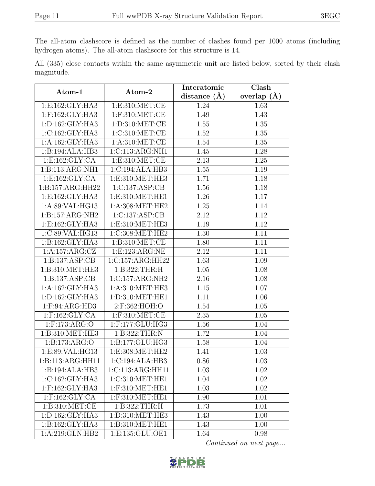The all-atom clashscore is defined as the number of clashes found per 1000 atoms (including hydrogen atoms). The all-atom clashscore for this structure is 14.

All (335) close contacts within the same asymmetric unit are listed below, sorted by their clash magnitude.

| Atom-1              | Atom-2              | Interatomic      | Clash             |
|---------------------|---------------------|------------------|-------------------|
|                     |                     | distance $(\AA)$ | overlap $(A)$     |
| 1:E:162:GLY:HA3     | 1: E: 310: MET: CE  | 1.24             | 1.63              |
| $1:$ F:162:GLY:HA3  | $1:$ F:310:MET:CE   | 1.49             | 1.43              |
| 1: D: 162: GLY: HA3 | 1: D: 310: MET:CE   | 1.55             | 1.35              |
| 1: C: 162: GLY: HA3 | 1:C:310:MET:CE      | 1.52             | $1.35\,$          |
| 1:A:162:GLY:HA3     | 1: A:310: MET:CE    | 1.54             | $\overline{1.35}$ |
| 1:B:194:ALA:HB3     | 1:C:113:ARG:NH1     | 1.45             | 1.28              |
| 1:E:162:GLY:CA      | 1: E:310: MET:CE    | 2.13             | 1.25              |
| 1:B:113:ARG:NH1     | 1:C:194:ALA:HB3     | 1.55             | 1.19              |
| 1:E:162:GLY:CA      | 1:E:310:MET:HE3     | 1.71             | 1.18              |
| 1:B:157:ARG:HH22    | 1:C:137:ASP:CB      | 1.56             | 1.18              |
| 1:E:162:GLY:HA3     | 1:E:310:MET:HE1     | 1.26             | 1.17              |
| 1:A:89:VAL:HG13     | 1: A:308: MET:HE2   | 1.25             | 1.14              |
| 1: B: 157: ARG: NH2 | 1:C:137:ASP:CB      | 2.12             | 1.12              |
| 1: E: 162: GLY: HA3 | 1: E: 310: MET: HE3 | 1.19             | 1.12              |
| 1:C:89:VAL:HG13     | 1:C:308:MET:HE2     | 1.30             | 1.11              |
| 1:B:162:GLY:HA3     | 1: B: 310: MET: CE  | 1.80             | 1.11              |
| 1:A:157:ARG:CZ      | 1: E: 123: ARG: NE  | 2.12             | 1.11              |
| 1:B:137:ASP:CB      | 1:C:157:ARG:HH22    | 1.63             | 1.09              |
| 1:B:310:MET:HE3     | 1:B:322:THR:H       | 1.05             | 1.08              |
| 1:B:137:ASP:CB      | 1:C:157:ARG:NH2     | 2.16             | 1.08              |
| 1:A:162:GLY:HA3     | 1: A:310:MET:HE3    | 1.15             | 1.07              |
| 1: D: 162: GLY: HA3 | 1:D:310:MET:HE1     | 1.11             | $\overline{1.06}$ |
| 1: F: 94: ARG: HD3  | 2:F:362:HOH:O       | 1.54             | 1.05              |
| $1:$ F:162:GLY:CA   | $1:$ F:310:MET:CE   | 2.35             | 1.05              |
| $1:$ F:173:ARG:O    | 1:F:177:GLU:HG3     | 1.56             | 1.04              |
| 1:B:310:MET:HE3     | 1:B:322:THR:N       | 1.72             | 1.04              |
| 1:B:173:ARG:O       | 1:B:177:GLU:HG3     | 1.58             | 1.04              |
| 1:E:89:VAL:HG13     | 1:E:308:MET:HE2     | 1.41             | 1.03              |
| 1:B:113:ARG:HH11    | 1:C:194:ALA:HB3     | 0.86             | $\overline{1.03}$ |
| 1:B:194:ALA:HB3     | 1:C:113:ARG:HH11    | 1.03             | 1.02              |
| 1:C:162:GLY:HA3     | 1:C:310:MET:HE1     | 1.04             | 1.02              |
| 1:F:162:GLY:HA3     | 1:F:310:MET:HE1     | 1.03             | 1.02              |
| $1:$ F:162:GLY:CA   | 1:F:310:MET:HE1     | 1.90             | 1.01              |
| 1: B: 310: MET: CE  | 1:B:322:THR:H       | 1.73             | 1.01              |
| 1: D: 162: GLY: HA3 | 1: D: 310: MET: HE3 | 1.43             | 1.00              |
| 1: B: 162: GLY: HA3 | 1:B:310:MET:HE1     | 1.43             | 1.00              |
| 1:A:219:GLN:HB2     | 1:E:135:GLU:OE1     | 1.64             | 0.98              |

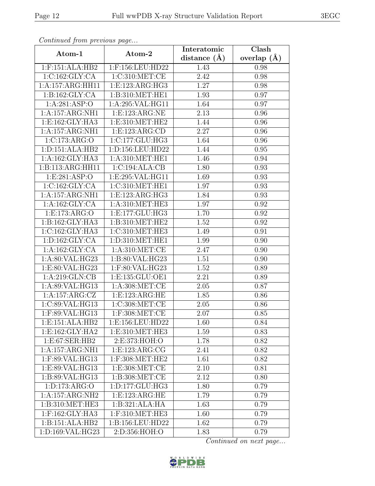| Continued from previous page |                              | Interatomic    | Clash         |
|------------------------------|------------------------------|----------------|---------------|
| Atom-1                       | Atom-2                       | distance $(A)$ | overlap $(A)$ |
| $1:$ F:151:ALA:HB2           | 1:F:156:LEU:HD22             | 1.43           | 0.98          |
| 1:C:162:GLY:CA               | 1:C:310:MET:CE               | 2.42           | 0.98          |
| 1:A:157:ARG:HH11             | 1:E:123:ARG:HG3              | 1.27           | 0.98          |
| 1: B: 162: GLY: CA           | 1:B:310:MET:HE1              | 1.93           | 0.97          |
| 1: A:281: ASP:O              | 1:A:295:VAL:HG11             | 1.64           | 0.97          |
| 1:A:157:ARG:NH1              | 1:E:123:ARG:NE               | 2.13           | 0.96          |
| 1: E: 162: GLY: HA3          | 1: E: 310: MET: HE2          | 1.44           | 0.96          |
| 1:A:157:ARG:NH1              | 1: E: 123: ARG: CD           | 2.27           | 0.96          |
| 1:C:173:ARG:O                | 1:C:177:CLU:HG3              | 1.64           | 0.96          |
| 1: D: 151: ALA: HB2          | 1:D:156:LEU:HD22             | 1.44           | 0.95          |
| 1:A:162:GLY:HA3              | 1: A:310: MET:HE1            | 1.46           | 0.94          |
| 1:B:113:ARG:HH11             | 1:C:194:ALA:CB               | 1.80           | 0.93          |
| 1:E:281:ASP:O                | 1:E:295:VAL:HG11             | 1.69           | 0.93          |
| 1:C:162:GLY:CA               | 1:C:310:MET:HE1              | 1.97           | 0.93          |
| 1:A:157:ARG:NH1              | 1:E:123:ARG:HG3              | 1.84           | 0.93          |
| 1: A: 162: GLY: CA           | 1: A:310:MET:HE3             | 1.97           | 0.92          |
| 1:E:173:ARG:O                | 1: E: 177: GLU: HG3          | 1.70           | 0.92          |
| 1:B:162:GLY:HA3              | 1:B:310:MET:HE2              | 1.52           | 0.92          |
| 1:C:162:GLY:HA3              | $1:C:\overline{310:MET:HE3}$ | 1.49           | 0.91          |
| 1: D: 162: GLY: CA           | 1:D:310:MET:HE1              | 1.99           | 0.90          |
| 1:A:162:GLY:CA               | 1: A:310:MET:CE              | 2.47           | 0.90          |
| 1:A:80:VAL:HG23              | 1:B:80:VAL:HG23              | 1.51           | 0.90          |
| 1:E:80:VAL:HG23              | 1:F:80:VAL:HG23              | 1.52           | 0.89          |
| 1:A:219:GLN:CB               | 1:E:135:GLU:OE1              | 2.21           | 0.89          |
| 1:A:89:VAL:HG13              | 1:A:308:MET:CE               | 2.05           | 0.87          |
| 1:A:157:ARG:CZ               | 1:E:123:ARG:HE               | 1.85           | 0.86          |
| 1:C:89:VAL:HG13              | 1:C:308:MET:CE               | 2.05           | 0.86          |
| 1:F:89:VAL:HG13              | $1:$ F:308:MET:CE            | 2.07           | $0.85\,$      |
| 1:E:151:ALA:HB2              | 1:E:156:LEU:HD22             | 1.60           | 0.84          |
| 1: E: 162: GLY: HA2          | 1:E:310:MET:HE3              | 1.59           | 0.83          |
| 1: E:67: SER: HB2            | 2:E:373:HOH:O                | 1.78           | 0.82          |
| 1:A:157:ARG:NH1              | 1:E:123:ARG:CG               | 2.41           | 0.82          |
| 1:F:89:VAL:HG13              | $1:$ F:308:MET:HE2           | 1.61           | 0.82          |
| 1:E:89:VAL:HG13              | 1: E: 308: MET: CE           | 2.10           | 0.81          |
| 1:B:89:VAL:HG13              | 1: B: 308: MET:CE            | 2.12           | 0.80          |
| 1: D: 173: ARG: O            | 1:D:177:GLU:HG3              | 1.80           | 0.79          |
| 1:A:157:ARG:NH2              | 1: E: 123: ARG: HE           | 1.79           | 0.79          |
| 1:B:310:MET:HE3              | 1:B:321:ALA:HA               | 1.63           | 0.79          |
| $1:$ F:162:GLY:HA3           | 1:F:310:MET:HE3              | 1.60           | 0.79          |
| 1:B:151:ALA:HB2              | 1:B:156:LEU:HD22             | 1.62           | 0.79          |
| 1:D:169:VAL:HG23             | 2:D:356:HOH:O                | 1.83           | 0.79          |

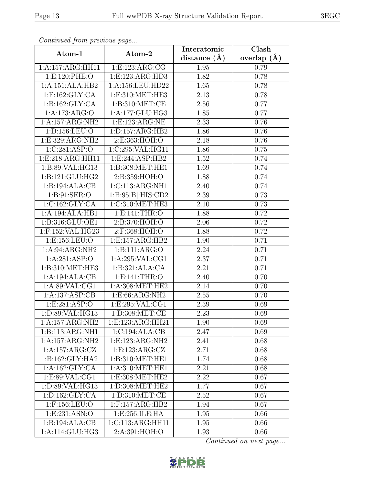| Continuea from previous page |                     | Interatomic      | Clash         |
|------------------------------|---------------------|------------------|---------------|
| Atom-1                       | Atom-2              | distance $(\AA)$ | overlap $(A)$ |
| 1:A:157:ARG:HH11             | 1:E:123:ARG:CG      | 1.95             | 0.79          |
| 1: E: 120: PHE: O            | 1: E: 123: ARG: HD3 | 1.82             | 0.78          |
| 1:A:151:ALA:HB2              | 1:A:156:LEU:HD22    | 1.65             | 0.78          |
| $1:$ F:162:GLY:CA            | $1:$ F:310:MET:HE3  | 2.13             | 0.78          |
| 1: B: 162: GLY: CA           | 1:B:310:MET:CE      | 2.56             | 0.77          |
| 1:A:173:ARG:O                | 1:A:177:GLU:HG3     | 1.85             | 0.77          |
| 1:A:157:ARG:NH2              | 1: E: 123: ARG: NE  | 2.33             | 0.76          |
| 1:D:156:LEU:O                | 1: D: 157: ARG: HB2 | 1.86             | 0.76          |
| 1:E:329:ARG:NH2              | 2:E:363:HOH:O       | 2.18             | 0.76          |
| 1:C:281:ASP:O                | 1:C:295:VAL:HG11    | 1.86             | 0.75          |
| 1:E:218:ARG:HH11             | 1:E:244:ASP:HB2     | 1.52             | 0.74          |
| 1:B:89:VAL:HG13              | 1:B:308:MET:HE1     | 1.69             | 0.74          |
| 1:B:121:GLU:HG2              | 2:B:359:HOH:O       | 1.88             | 0.74          |
| 1:B:194:ALA:CB               | 1:C:113:ARG:NH1     | 2.40             | 0.74          |
| 1: B:91: SER:O               | 1:B:95[B]:HIS:CD2   | 2.39             | 0.73          |
| 1:C:162:GLY:CA               | 1:C:310:MET:HE3     | 2.10             | 0.73          |
| 1:A:194:ALA:HB1              | 1: E:141: THR:O     | 1.88             | 0.72          |
| 1:B:316:GLU:OE1              | 2:B:370:HOH:O       | 2.06             | 0.72          |
| 1:F:152:VAL:HG23             | 2:F:368:HOH:O       | 1.88             | 0.72          |
| 1:E:156:LEU:O                | 1:E:157:ARG:HB2     | 1.90             | 0.71          |
| 1:A:94:ARG:NH2               | 1:B:111:ARG:O       | 2.24             | 0.71          |
| 1:A:281:ASP:O                | 1:A:295:VAL:CG1     | 2.37             | 0.71          |
| 1:B:310:MET:HE3              | 1:B:321:ALA:CA      | 2.21             | 0.71          |
| 1:A:194:ALA:CB               | 1: E:141: THR:O     | 2.40             | 0.70          |
| 1: A:89: VAL:CG1             | 1: A:308: MET:HE2   | 2.14             | 0.70          |
| 1:A:137:ASP:CB               | 1:E:66:ARG:NH2      | 2.55             | 0.70          |
| 1:E:281:ASP:O                | 1:E:295:VAL:CG1     | 2.39             | 0.69          |
| 1:D:89:VAL:HG13              | 1:D:308:MET:CE      | 2.23             | 0.69          |
| 1:A:157:ARG:NH2              | 1:E:123:ARG:HH21    | 1.90             | 0.69          |
| 1:B:113:ARG:NH1              | 1:C:194:ALA:CB      | 2.47             | 0.69          |
| 1:A:157:ARG:NH2              | 1:E:123:ARG:NH2     | 2.41             | 0.68          |
| 1:A:157:ARG:CZ               | 1:E:123:ARG:CZ      | 2.71             | 0.68          |
| $1:B:162:GLY:H\overline{A2}$ | 1:B:310:MET:HE1     | 1.74             | 0.68          |
| 1:A:162:GLY:CA               | 1: A:310:MET:HE1    | 2.21             | 0.68          |
| 1:E:89:VAL:CG1               | 1: E: 308: MET: HE2 | 2.22             | 0.67          |
| 1:D:89:VAL:HG13              | 1: D: 308: MET: HE2 | 1.77             | 0.67          |
| 1: D: 162: GLY: CA           | 1: D:310: MET:CE    | 2.52             | 0.67          |
| 1:F:156:LEU:O                | $1:$ F:157:ARG:HB2  | 1.94             | 0.67          |
| 1: E: 231: ASN:O             | 1:E:256:ILE:HA      | 1.95             | 0.66          |
| 1:B:194:ALA:CB               | 1:C:113:ARG:HH11    | 1.95             | 0.66          |
| 1:A:114:GLU:HG3              | 2:A:391:HOH:O       | 1.93             | 0.66          |

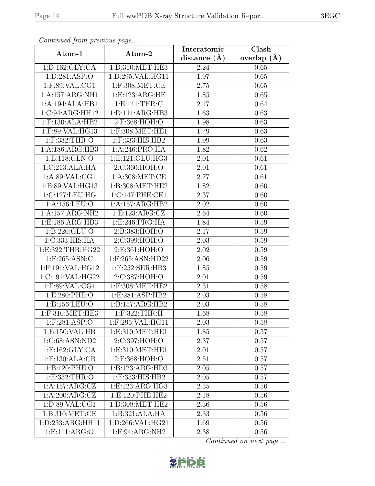| Continuea from previous page   |                     | Interatomic    | $\overline{\text{Clash}}$ |
|--------------------------------|---------------------|----------------|---------------------------|
| Atom-1                         | Atom-2              | distance $(A)$ | overlap $(A)$             |
| 1: D: 162: GLY: CA             | 1:D:310:MET:HE3     | 2.24           | 0.65                      |
| 1:D:281:ASP:O                  | 1:D:295:VAL:HG11    | 1.97           | 0.65                      |
| $1:$ F:89:VAL:CG1              | $1:$ F:308:MET:CE   | 2.75           | 0.65                      |
| 1:A:157:ARG:NH1                | 1: E: 123: ARG: HE  | 1.85           | 0.65                      |
| 1:A:194:ALA:HB1                | 1: E:141: THR: C    | 2.17           | 0.64                      |
| 1:C:94:ARG:HH12                | 1: D: 111: ARG: HB3 | 1.63           | 0.63                      |
| $1:$ F:130:ALA:HB2             | 2:F:368:HOH:O       | 1.98           | 0.63                      |
| 1:F:89:VAL:HG13                | 1:F:308:MET:HE1     | 1.79           | 0.63                      |
| 1:F:332:THR:O                  | 1:F:333:HIS:HB2     | 1.99           | 0.63                      |
| 1:A:186:ARG:HB3                | 1:A:246:PRO:HA      | 1.82           | 0.62                      |
| 1: E: 118: GLN: O              | 1: E: 121: GLU: HG3 | 2.01           | 0.61                      |
| 1:C:213:ALA:HA                 | 2:C:360:HOH:O       | 2.01           | 0.61                      |
| 1: A:89: VAL:CG1               | 1: A:308: MET:CE    | 2.77           | 0.61                      |
| 1:B:89:VAL:HG13                | 1:B:308:MET:HE2     | 1.82           | 0.60                      |
| 1:C:127:LEU:HG                 | 1:C:147:PHE:CE1     | 2.37           | 0.60                      |
| 1:A:156:LEU:O                  | 1:A:157:ARG:HB2     | 2.02           | 0.60                      |
| 1:A:157:ARG:NH2                | 1:E:123:ARG:CZ      | 2.64           | 0.60                      |
| 1:E:186:ARG:HB3                | 1:E:246:PRO:HA      | 1.84           | 0.59                      |
| 1:B:220:GLU:O                  | 2:B:383:HOH:O       | 2.17           | 0.59                      |
| 1:C:333:HIS:HA                 | 2:C:399:HOH:O       | 2.03           | 0.59                      |
| 1:E:322:THR:HG22               | 2:E:361:HOH:O       | 2.02           | 0.59                      |
| 1:F:265:ASN:C                  | 1:F:265:ASN:HD22    | 2.06           | 0.59                      |
| 1:F:191:VAL:HG12               | 1:F:252:SER:HB3     | 1.85           | 0.59                      |
| 1:C:191:VAL:HG22               | 2:C:387:HOH:O       | 2.01           | 0.59                      |
| 1:F:89:VAL:CG1                 | 1:F:308:MET:HE2     | 2.31           | 0.58                      |
| 1:E:280:PHE:O                  | 1:E:281:ASP:HB2     | 2.03           | 0.58                      |
| 1:B:156:LEU:O                  | 1:B:157:ARG:HB2     | 2.03           | 0.58                      |
| 1:F:310:MET:HE3                | 1:F:322:THR:H       | 1.68           | 0.58                      |
| $1:$ F:281:ASP:O               | 1:F:295:VAL:HG11    | 2.03           | 0.58                      |
| 1: E: 150: VAL: HB             | 1:E:310:MET:HE1     | 1.85           | 0.57                      |
| 1:C:68:ASN:ND2                 | 2:C:397:HOH:O       | 2.37           | 0.57                      |
| $1: E: 162: \overline{GLY:CA}$ | 1:E:310:MET:HE1     | 2.01           | 0.57                      |
| $1:$ F:130:ALA:CB              | 2:F:368:HOH:O       | 2.51           | 0.57                      |
| 1:B:120:PHE:O                  | 1:B:123:ARG:HD3     | 2.05           | 0.57                      |
| 1: E: 332: THR:O               | 1: E: 333: HIS: HB2 | 2.05           | 0.57                      |
| 1:A:157:ARG:CZ                 | 1: E: 123: ARG: HG3 | 2.35           | 0.56                      |
| 1: A:200: ARG: CZ              | 1:E:120:PHE:HE2     | 2.18           | 0.56                      |
| 1:D:89:VAL:CG1                 | 1:D:308:MET:HE2     | 2.36           | 0.56                      |
| 1:B:310:MET:CE                 | 1:B:321:ALA:HA      | 2.33           | 0.56                      |
| 1:D:233:ARG:HH11               | 1:D:266:VAL:HG21    | 1.69           | 0.56                      |
| 1:E:111:ARG:O                  | $1:$ F:94:ARG:NH2   | 2.38           | 0.56                      |

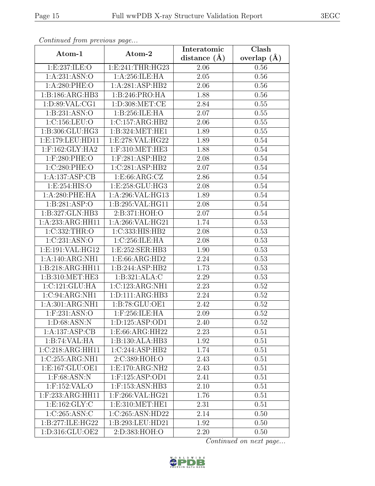| Continued from previous page |                               | Interatomic    | Clash         |
|------------------------------|-------------------------------|----------------|---------------|
| Atom-1                       | Atom-2                        | distance $(A)$ | overlap $(A)$ |
| 1:E:237:ILE:O                | 1: E: 241: THR: HG23          | 2.06           | 0.56          |
| 1:A:231:ASN:O                | 1:A:256:ILE:HA                | 2.05           | 0.56          |
| $1: A:280:$ PHE:O            | 1:A:281:ASP:HB2               | 2.06           | 0.56          |
| 1:B:186:ARG:HB3              | 1:B:246:PRO:HA                | 1.88           | 0.56          |
| 1: D:89: VAL:CG1             | 1: D:308: MET:CE              | 2.84           | 0.55          |
| 1:B:231:ASN:O                | 1:B:256:ILE:HA                | 2.07           | 0.55          |
| 1:C:156:LEU:O                | 1:C:157:ARG:HB2               | 2.06           | 0.55          |
| 1:B:306:GLU:HG3              | 1:B:324:MET:HE1               | 1.89           | 0.55          |
| 1:E:179:LEU:HD11             | 1:E:278:VAL:HG22              | 1.89           | 0.54          |
| 1:F:162:GLY:HA2              | $1:$ F:310:MET:HE3            | 1.88           | 0.54          |
| 1:F:280:PHE:O                | 1:F:281:ASP:HB2               | 2.08           | 0.54          |
| 1:C:280:PHE:O                | 1:C:281:ASP:HB2               | 2.07           | 0.54          |
| 1:A:137:ASP:CB               | 1:E:66:ARG:CZ                 | 2.86           | 0.54          |
| 1: E: 254: HIS: O            | 1: E: 258: GLU: HG3           | 2.08           | 0.54          |
| 1:A:280:PHE:HA               | 1:A:296:VAL:HG13              | 1.89           | 0.54          |
| 1:B:281:ASP:O                | 1:B:295:VAL:HG11              | 2.08           | 0.54          |
| 1:B:327:GLN:HB3              | 2:B:371:HOH:O                 | 2.07           | 0.54          |
| 1:A:233:ARG:HH11             | 1:A:266:VAL:HG21              | 1.74           | 0.53          |
| 1:C:332:THR:O                | 1:C:333:HIS:HB2               | 2.08           | 0.53          |
| 1:C:231:ASN:O                | 1:C:256:ILE:HA                | 2.08           | 0.53          |
| 1:E:191:VAL:HG12             | 1:E:252:SER:HB3               | 1.90           | 0.53          |
| 1:A:140:ARG:NH1              | 1:E:66:ARG:HD2                | 2.24           | 0.53          |
| 1:B:218:ARG:HH11             | 1:B:244:ASP:HB2               | 1.73           | 0.53          |
| 1:B:310:MET:HE3              | 1:B:321:ALA:C                 | 2.29           | 0.53          |
| 1:C:121:GLU:HA               | 1:C:123:ARG:NH1               | 2.23           | 0.52          |
| 1:C:94:ARG:NH1               | 1:D:111:ARG:HB3               | 2.24           | $0.52\,$      |
| 1:A:301:ARG:NH1              | 1:B:78:GLU:OE1                | 2.42           | 0.52          |
| $1:$ F:231:ASN:O             | $1:$ F:256:ILE:HA             | 2.09           | 0.52          |
| 1: D:68: ASN: N              | 1: D: 125: ASP: OD1           | 2.40           | 0.52          |
| 1:A:137:ASP:CB               | 1:E:66:ARG:HH22               | 2.23           | 0.51          |
| 1:B:74:VAL:HA                | 1:B:130:ALA:HB3               | 1.92           | 0.51          |
| 1:C:218:ARG:HH11             | 1:C:244:ASP:HB2               | 1.74           | 0.51          |
| 1:C:255:ARG:NH1              | 2:C:389:HOH:O                 | 2.43           | 0.51          |
| 1:E:167:GLU:OE1              | 1:E:170:ARG:NH2               | 2.43           | 0.51          |
| $1:$ F:68:ASN:N              | $1:$ F:125:ASP:OD1            | 2.41           | 0.51          |
| 1:F:152:VAL:O                | 1:F:153:ASN:HB3               | 2.10           | 0.51          |
| 1:F:233:ARG:HH11             | 1:F:266:VAL:HG21              | 1.76           | 0.51          |
| 1:E:162:GLY:C                | 1:E:310:MET:HE1               | 2.31           | 0.51          |
| 1:C:265:ASN:C                | 1:C:265:ASN:HD22              | 2.14           | 0.50          |
| 1:B:277:ILE:HG22             | 1:B:293:LEU:HD21              | 1.92           | 0.50          |
| 1:D:316:GLU:OE2              | $2: D: 383: H\overline{OH:O}$ | 2.20           | 0.50          |

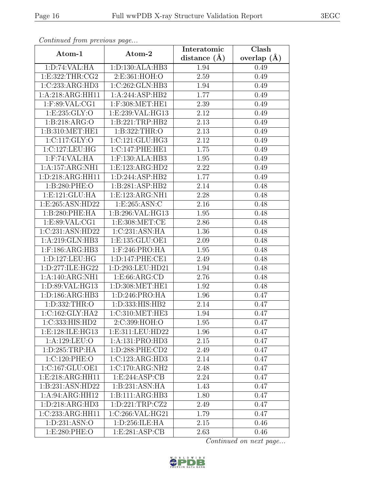| Continued from previous page |                     | Interatomic       | Clash         |
|------------------------------|---------------------|-------------------|---------------|
| Atom-1                       | Atom-2              | distance $(A)$    | overlap $(A)$ |
| 1: D:74: VAL: HA             | 1:D:130:ALA:HB3     | 1.94              | 0.49          |
| 1:E:322:THR:CG2              | 2:E:361:HOH:O       | $\overline{2.59}$ | 0.49          |
| 1:C:233:ARG:HD3              | 1:C:262:GLN:HB3     | 1.94              | 0.49          |
| 1:A:218:ARG:HH11             | 1:A:244:ASP:HB2     | 1.77              | 0.49          |
| $1:$ F:89:VAL:CG1            | 1:F:308:MET:HE1     | 2.39              | 0.49          |
| 1: E: 235: GLY:O             | 1:E:239:VAL:HG13    | 2.12              | 0.49          |
| 1:B:218:ARG:O                | 1:B:221:TRP:HB2     | $\overline{2.13}$ | 0.49          |
| 1:B:310:MET:HE1              | 1:B:322:THR:O       | 2.13              | 0.49          |
| 1:C:117:GLY:O                | 1:C:121:GLU:HG3     | 2.12              | 0.49          |
| 1:C:127:LEU:HG               | 1:C:147:PHE:HE1     | 1.75              | 0.49          |
| $1:$ F:74:VAL:HA             | 1:F:130:ALA:HB3     | 1.95              | 0.49          |
| 1:A:157:ARG:NH1              | 1: E: 123: ARG: HD2 | 2.22              | 0.49          |
| 1:D:218:ARG:HH11             | 1:D:244:ASP:HB2     | 1.77              | 0.49          |
| 1:B:280:PHE:O                | 1:B:281:ASP:HB2     | 2.14              | 0.48          |
| 1:E:121:GLU:HA               | 1:E:123:ARG:NH1     | 2.28              | 0.48          |
| 1:E:265:ASN:HD22             | 1:E:265:ASN:C       | 2.16              | 0.48          |
| 1:B:280:PHE:HA               | 1:B:296:VAL:HG13    | 1.95              | 0.48          |
| 1:E:89:VAL:CG1               | 1: E: 308: MET: CE  | 2.86              | 0.48          |
| 1:C:231:ASN:HD22             | 1:C:231:ASN:HA      | 1.36              | 0.48          |
| 1:A:219:GLN:HB3              | 1:E:135:GLU:OE1     | 2.09              | 0.48          |
| 1:F:186:ARG:HB3              | 1:F:246:PRO:HA      | 1.95              | 0.48          |
| 1:D:127:LEU:HG               | 1: D: 147: PHE: CE1 | 2.49              | 0.48          |
| 1:D:277:ILE:HG22             | 1:D:293:LEU:HD21    | 1.94              | 0.48          |
| 1:A:140:ARG:NH1              | 1: E:66: ARG:CD     | 2.76              | 0.48          |
| 1:D:89:VAL:HG13              | 1: D: 308: MET: HE1 | 1.92              | 0.48          |
| 1: D: 186: ARG: HB3          | 1:D:246:PRO:HA      | 1.96              | 0.47          |
| 1:D:332:THR:O                | 1:D:333:HIS:HB2     | 2.14              | 0.47          |
| $1:C:162:GLY:H\overline{A2}$ | 1:C:310:MET:HE3     | 1.94              | 0.47          |
| 1:C:333:HIS:HD2              | 2:C:399:HOH:O       | 1.95              | 0.47          |
| 1:E:128:ILE:HG13             | 1:E:311:LEU:HD22    | 1.96              | 0.47          |
| 1:A:129:LEU:O                | 1:A:131:PRO:HD3     | 2.15              | 0.47          |
| 1:D:285:TRP:HA               | 1:D:288:PHE:CD2     | 2.49              | 0.47          |
| 1:C:120:PHE:O                | 1:C:123:ARG:HD3     | 2.14              | 0.47          |
| 1:C:167:GLU:OE1              | 1:C:170:ARG:NH2     | 2.48              | 0.47          |
| 1:E:218:ARG:HH11             | 1: E:244: ASP:CB    | 2.24              | 0.47          |
| 1:B:231:ASN:HD22             | 1:B:231:ASN:HA      | 1.43              | 0.47          |
| 1:A:94:ARG:HH12              | 1:B:111:ARG:HB3     | 1.80              | 0.47          |
| 1: D: 218: ARG: HD3          | 1:D:221:TRP:CZ2     | 2.49              | 0.47          |
| 1:C:233:ARG:HH11             | 1:C:266:VAL:HG21    | 1.79              | 0.47          |
| 1:D:231:ASN:O                | 1:D:256:ILE:HA      | 2.15              | 0.46          |
| 1:E:280:PHE:O                | 1: E:281: ASP:CB    | 2.63              | 0.46          |

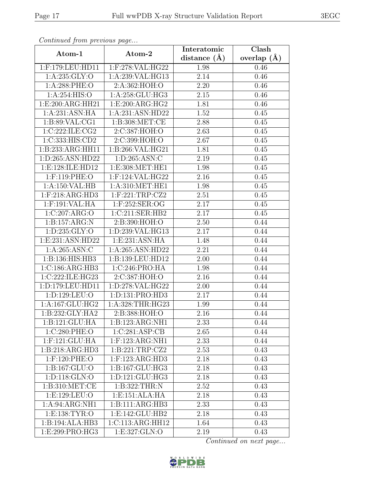| Continued from previous page        |                                 | Interatomic       | Clash         |
|-------------------------------------|---------------------------------|-------------------|---------------|
| Atom-1                              | Atom-2                          | distance $(A)$    | overlap $(A)$ |
| 1:F:179:LEU:HD11                    | 1:F:278:VAL:HG22                | 1.98              | 0.46          |
| 1: A:235: GLY:O                     | 1:A:239:VAL:HG13                | 2.14              | 0.46          |
| $1: A:288:$ PHE:O                   | 2:A:362:HOH:O                   | 2.20              | 0.46          |
| 1:A:254:HIS:O                       | 1:A:258:GLU:HG3                 | 2.15              | 0.46          |
| 1:E:200:ARG:HH21                    | 1:E:200:ARG:HG2                 | 1.81              | 0.46          |
| 1: A:231: ASN: HA                   | 1:A:231:ASN:HD22                | 1.52              | 0.45          |
| 1: B:89: VAL:CG1                    | $1: \overline{B:308:MET:CE}$    | 2.88              | 0.45          |
| 1:C:222:ILE:CG2                     | 2:C:387:HOH:O                   | 2.63              | 0.45          |
| 1:C:333:HIS:CD2                     | 2:C:399:HOH:O                   | 2.67              | 0.45          |
| 1:B:233:ARG:HH11                    | 1:B:266:VAL:HG21                | 1.81              | 0.45          |
| 1:D:265:ASN:HD22                    | 1: D:265: ASN: C                | 2.19              | 0.45          |
| 1:E:128:ILE:HD12                    | 1:E:308:MET:HE1                 | 1.98              | 0.45          |
| 1:F:119:PHE:O                       | 1:F:124:VAL:HG22                | 2.16              | 0.45          |
| 1:A:150:VAL:HB                      | 1: A:310: MET:HE1               | 1.98              | 0.45          |
| $1:$ F:218:ARG:HD3                  | 1:F:221:TRP:CZ2                 | 2.51              | 0.45          |
| 1:F:191:VAL:HA                      | 1:F:252:SER:OG                  | 2.17              | 0.45          |
| 1:C:207:ARG:O                       | 1:C:211:SER:HB2                 | 2.17              | 0.45          |
| $1:B:157:ARG:\overline{\mathbf{N}}$ | 2:B:390:HOH:O                   | 2.50              | 0.44          |
| 1:D:235:GLY:O                       | 1:D:239:VAL:HG13                | 2.17              | 0.44          |
| 1:E:231:ASN:HD22                    | 1:E:231:ASN:HA                  | 1.48              | 0.44          |
| 1:A:265:ASN:C                       | 1:A:265:ASN:HD22                | 2.21              | 0.44          |
| 1:B:136:HIS:HB3                     | 1:B:139:LEU:HD12                | 2.00              | 0.44          |
| 1:C:186:ARG:HB3                     | 1:C:246:PRO:HA                  | 1.98              | 0.44          |
| 1:C:222:ILE:HG23                    | 2:C:387:HOH:O                   | $\overline{2.16}$ | 0.44          |
| 1:D:179:LEU:HD11                    | 1:D:278:VAL:HG22                | $2.00\,$          | 0.44          |
| 1:D:129:LEU:O                       | 1:D:131:PRO:HD3                 | 2.17              | 0.44          |
| 1:A:167:GLU:HG2                     | 1:A:328:THR:HG23                | 1.99              | 0.44          |
| $1:B:232:GLY:H\overline{A2}$        | 2:B:388:HOH:O                   | 2.16              | 0.44          |
| 1:B:121:GLU:HA                      | 1:B:123:ARG:NH1                 | 2.33              | 0.44          |
| 1:C:280:PHE:O                       | 1:C:281:ASP:CB                  | 2.65              | 0.44          |
| 1:F:121:GLU:HA                      | 1:F:123:ARG:NH1                 | 2.33              | 0.44          |
| 1:B:218:ARG:HD3                     | 1:B:221:TRP:CZ2                 | 2.53              | 0.43          |
| 1:F:120:PHE:O                       | 1:F:123:ARG:HD3                 | 2.18              | 0.43          |
| 1:B:167:GLU:O                       | 1:B:167:GLU:HG3                 | 2.18              | 0.43          |
| 1:D:118:GLN:O                       | 1: D: 121: GLU: HG3             | 2.18              | 0.43          |
| 1: B:310: MET:CE                    | 1:B:322:THR:N                   | 2.52              | 0.43          |
| 1:E:129:EU:O                        | $1: E: 151: ALA: \overline{HA}$ | 2.18              | 0.43          |
| 1:A:94:ARG:NH1                      | 1:B:111:ARG:HB3                 | 2.33              | 0.43          |
| 1: E: 138: TYR: O                   | 1:E:142:GLU:HB2                 | 2.18              | 0.43          |
| 1:B:194:ALA:HB3                     | 1:C:113:ARG:HH12                | 1.64              | 0.43          |
| 1:E:299:PRO:HG3                     | 1:E:327:GLN:O                   | 2.19              | 0.43          |

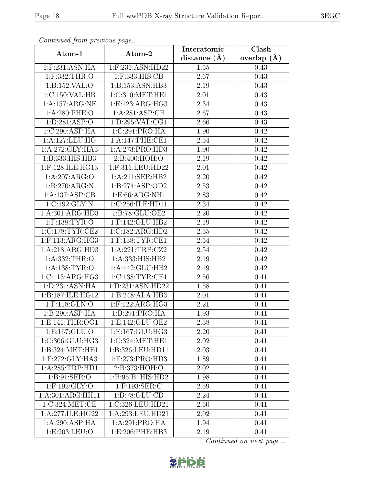| Continued from previous page |                    | Interatomic       | Clash         |
|------------------------------|--------------------|-------------------|---------------|
| Atom-1                       | Atom-2             | distance $(A)$    | overlap $(A)$ |
| 1:F:231:ASN:HA               | 1:F:231:ASN:HD22   | 1.55              | 0.43          |
| 1:F:332:THR:O                | $1:$ F:333:HIS:CB  | 2.67              | 0.43          |
| 1: B: 152: VAL: O            | 1:B:153:ASN:HB3    | 2.19              | 0.43          |
| 1:C:150:VAL:HB               | 1:C:310:MET:HE1    | 2.01              | 0.43          |
| 1:A:157:ARG:NE               | 1:E:123:ARG:HG3    | 2.34              | 0.43          |
| 1:A:280:PHE:O                | 1: A:281: ASP:CB   | 2.67              | 0.43          |
| 1: D:281: ASP:O              | 1: D:295: VAL:CG1  | 2.66              | 0.43          |
| 1:C:290:ASP:HA               | 1:C:291:PRO:HA     | 1.90              | 0.42          |
| 1:A:127:LEU:HG               | 1:A:147:PHE:CE1    | 2.54              | 0.42          |
| 1:A:272:GLY:HA3              | 1:A:273:PRO:HD3    | 1.90              | 0.42          |
| 1:B:333:HIS:HB3              | 2:B:400:HOH:O      | 2.19              | 0.42          |
| 1:F:128:ILE:HG13             | 1:F:311:LEU:HD22   | 2.01              | 0.42          |
| 1:A:207:ARG:O                | 1:A:211:SER:HB2    | 2.20              | 0.42          |
| 1:B:270:ARG:N                | 1:B:274:ASP:OD2    | 2.53              | 0.42          |
| 1:A:137:ASP:CB               | 1:E:66:ARG:NH1     | 2.83              | 0.42          |
| 1:C:192:GLY:N                | 1:C:256:ILE:HD11   | 2.34              | 0.42          |
| 1:A:301:ARG:HD3              | 1:B:78:GLU:OE2     | 2.20              | 0.42          |
| $1:$ F:138:TYR:O             | 1:F:142:GLU:HB2    | 2.19              | 0.42          |
| 1:C:178:TYR:CE2              | 1:C:182:ARG:HD2    | 2.55              | 0.42          |
| $1:$ F:113:ARG:HG3           | $1:$ F:138:TYR:CE1 | 2.54              | 0.42          |
| 1:A:218:ARG:HD3              | 1:A:221:TRP:CZ2    | 2.54              | 0.42          |
| 1:A:332:THR:O                | 1:A:333:HIS:HB2    | 2.19              | 0.42          |
| 1: A: 138: TYR: O            | 1:A:142:GLU:HB2    | 2.19              | 0.42          |
| 1:C:113:ARG:HG3              | 1:C:138:TYR:CE1    | $\overline{2.56}$ | 0.41          |
| 1:D:231:ASN:HA               | 1:D:231:ASN:HD22   | 1.58              | 0.41          |
| 1:B:187:ILE:HG12             | 1:B:248:ALA:HB3    | 2.01              | 0.41          |
| 1:F:118:GLN:O                | $1:$ F:122:ARG:HG3 | 2.21              | 0.41          |
| 1:B:290:ASP:HA               | 1:B:291:PRO:HA     | 1.93              | 0.41          |
| 1: E: 141: THR: OG1          | 1:E:142:GLU:OE2    | 2.38              | 0.41          |
| 1: E: 167: GLU:O             | 1:E:167:GLU:HG3    | 2.20              | 0.41          |
| 1:C:306:GLU:HG3              | 1:C:324:MET:HE1    | 2.02              | 0.41          |
| 1:B:324:MET:HE1              | 1:B:326:LEU:HD11   | 2.03              | 0.41          |
| 1:F:272:GLY:HA3              | 1:F:273:PRO:HD3    | 1.89              | 0.41          |
| 1:A:285:TRP:HD1              | 2:B:373:HOH:O      | 2.02              | 0.41          |
| 1: B:91: SER:O               | 1:B:95[B]:HIS:HD2  | 1.98              | 0.41          |
| 1:F:192:GLY:O                | $1:$ F:193:SER:C   | 2.59              | 0.41          |
| 1:A:301:ARG:HH11             | 1: B:78: GLU:CD    | 2.24              | 0.41          |
| 1:C:324:MET:CE               | 1:C:326:LEU:HD21   | 2.50              | 0.41          |
| 1:A:277:ILE:HG22             | 1:A:293:LEU:HD21   | 2.02              | 0.41          |
| 1:A:290:ASP:HA               | 1:A:291:PRO:HA     | 1.94              | 0.41          |
| 1:E:203:LEU:O                | 1:E:206:PHE:HB3    | 2.19              | 0.41          |

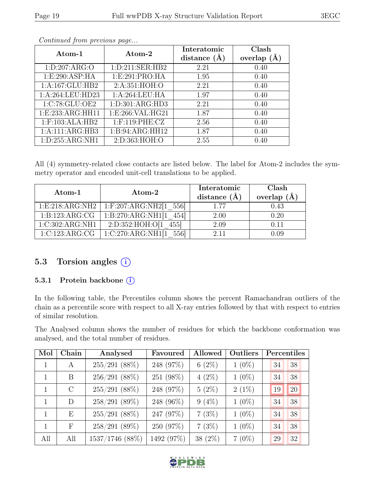| OLU |  |
|-----|--|
|     |  |
|     |  |
|     |  |
|     |  |

| Atom-1              | Atom-2              | Interatomic    | Clash           |
|---------------------|---------------------|----------------|-----------------|
|                     |                     | distance $(A)$ | overlap $(\AA)$ |
| 1: D: 207: ARG:O    | 1: D: 211: SER: HB2 | 2.21           | 0.40            |
| 1: E:290: ASP: HA   | 1: E:291: PRO:HA    | 1.95           | 0.40            |
| 1:A:167:GLU:HB2     | 2:A:351:HOH:O       | 2.21           | 0.40            |
| 1:A:264:LEU:HD23    | 1:A:264:LEU:HA      | 1.97           | 0.40            |
| 1:C:78:GLU:OE2      | 1: D: 301: ARG: HD3 | 2.21           | 0.40            |
| 1:E:233:ARG:HH11    | 1:E:266:VAL:HG21    | 1.87           | 0.40            |
| $1:$ F:103:ALA:HB2  | 1:F:119:PHE:CZ      | 2.56           | 0.40            |
| 1:A:111:ARG:HB3     | 1:B:94:ARG:HH12     | 1.87           | 0.40            |
| 1: D: 255: ARG: NH1 | 2:D:363:HOH:O       | 2.55           | 0.40            |

All (4) symmetry-related close contacts are listed below. The label for Atom-2 includes the symmetry operator and encoded unit-cell translations to be applied.

| Atom-1            | Atom-2                     | Interatomic<br>distance $(\AA)$ | Clash<br>overlap $(A)$ |
|-------------------|----------------------------|---------------------------------|------------------------|
| 1: E:218: ARG:NH2 | $1:$ F:207:ARG:NH2[1 556]  | 1.77                            | 0.43                   |
| 1:B:123:ARG:CG    | 1:B:270:ARG:NH1[1]<br>454  | 2.00                            | 0.20                   |
| 1:C:302:ARG:NH1   | 2:D:352:HOH:O[1<br>4551    | 2.09                            | 0.11                   |
| 1:C:123:ARG:CG    | 1:C:270:ARG:NH1[1]<br>5561 | 2.11                            | 0.09                   |

# 5.3 Torsion angles (i)

#### 5.3.1 Protein backbone (i)

In the following table, the Percentiles column shows the percent Ramachandran outliers of the chain as a percentile score with respect to all X-ray entries followed by that with respect to entries of similar resolution.

The Analysed column shows the number of residues for which the backbone conformation was analysed, and the total number of residues.

| Mol | Chain      | Analysed        | Favoured   | Allowed    | Outliers |    | Percentiles |
|-----|------------|-----------------|------------|------------|----------|----|-------------|
|     | A          | $255/291$ (88%) | 248 (97%)  | $6(2\%)$   | $1(0\%)$ | 34 | 38          |
|     | B          | $256/291(88\%)$ | 251 (98%)  | $4(2\%)$   | $1(0\%)$ | 34 | 38          |
| 1   | $\rm C$    | $255/291$ (88%) | 248 (97%)  | $5(2\%)$   | $2(1\%)$ | 19 | 20          |
| 1   | D          | 258/291(89%)    | 248 (96%)  | $9(4\%)$   | $1(0\%)$ | 34 | 38          |
| 1   | E          | $255/291$ (88%) | 247 (97%)  | 7(3%)      | $1(0\%)$ | 34 | 38          |
| 1   | $_{\rm F}$ | 258/291(89%)    | 250 (97%)  | 7(3%)      | $1(0\%)$ | 34 | 38          |
| All | All        | 1537/1746 (88%) | 1492 (97%) | 38 $(2\%)$ | $7(0\%)$ | 29 | 32          |

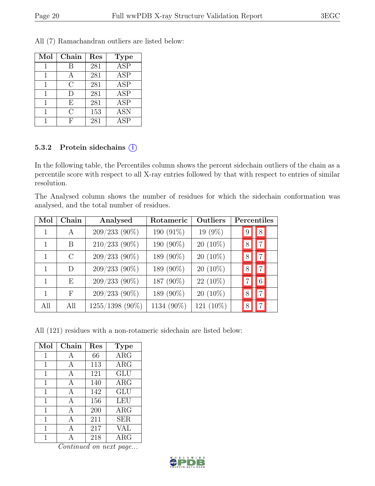| All (7) Ramachandran outliers are listed below: |
|-------------------------------------------------|
|-------------------------------------------------|

| Mol | Chain     | Res | Type                    |
|-----|-----------|-----|-------------------------|
|     | В         | 281 | $\overline{\text{ASP}}$ |
|     | А         | 281 | <b>ASP</b>              |
|     | $\bigcap$ | 281 | ASP                     |
|     | $\Box$    | 281 | <b>ASP</b>              |
|     | E         | 281 | <b>ASP</b>              |
|     | C         | 153 | <b>ASN</b>              |
|     | F         | 281 | <b>ASP</b>              |

#### 5.3.2 Protein side chains  $(i)$

In the following table, the Percentiles column shows the percent sidechain outliers of the chain as a percentile score with respect to all X-ray entries followed by that with respect to entries of similar resolution.

The Analysed column shows the number of residues for which the sidechain conformation was analysed, and the total number of residues.

| Mol | Chain         | Analysed        | Rotameric  | Outliers   | Percentiles         |
|-----|---------------|-----------------|------------|------------|---------------------|
|     | $\mathsf{A}$  | 209/233 (90%)   | 190 (91%)  | 19 (9%)    | 8 <sup>1</sup>      |
|     | <sub>B</sub>  | 210/233 (90%)   | 190 (90%)  | $20(10\%)$ | 7 <sup>1</sup><br>8 |
|     | $\mathcal{C}$ | 209/233 (90%)   | 189 (90%)  | $20(10\%)$ | $\overline{7}$      |
| 1   | D             | 209/233 (90%)   | 189 (90%)  | $20(10\%)$ | $\overline{7}$      |
|     | E             | 209/233 (90%)   | 187 (90%)  | $22(10\%)$ | $6\overline{6}$     |
|     | $_{\rm F}$    | 209/233 (90%)   | 189 (90%)  | $20(10\%)$ | 7 <sup>1</sup>      |
| All | All           | 1255/1398 (90%) | 1134 (90%) | 121 (10%)  |                     |

All (121) residues with a non-rotameric sidechain are listed below:

| Mol | Chain | Res | <b>Type</b> |
|-----|-------|-----|-------------|
| 1   | А     | 66  | $\rm{ARG}$  |
| 1   | A     | 113 | $\rm{ARG}$  |
| 1   | A     | 121 | <b>GLU</b>  |
| 1   | A     | 140 | $\rm{ARG}$  |
| 1   | A     | 142 | GLU         |
| 1   | A     | 156 | <b>LEU</b>  |
| 1   | A     | 200 | $\rm{ARG}$  |
| 1   | A     | 211 | <b>SER</b>  |
| 1   | А     | 217 | VAL         |
| 1   |       | 218 | $\rm{ARG}$  |

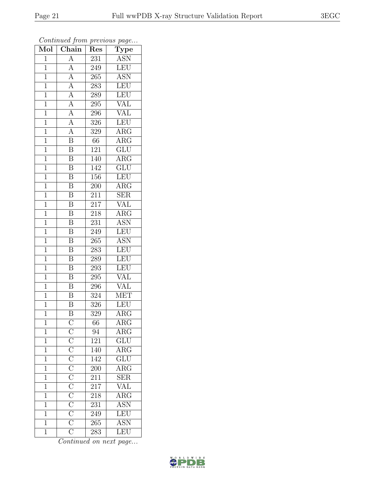| Mol            | $\boldsymbol{\theta}$<br>Chain                                                                                                                                                                     | Res              | x.<br>$\overline{v}$<br>$\overline{\text{Type}}$ |
|----------------|----------------------------------------------------------------------------------------------------------------------------------------------------------------------------------------------------|------------------|--------------------------------------------------|
| $\mathbf{1}$   | $\overline{A}$                                                                                                                                                                                     | 231              | <b>ASN</b>                                       |
| $\overline{1}$ | A                                                                                                                                                                                                  | 249              | <b>LEU</b>                                       |
| $\overline{1}$ | $\overline{A}$                                                                                                                                                                                     | 265              | $\overline{\text{ASN}}$                          |
| $\mathbf 1$    | $\overline{A}$                                                                                                                                                                                     | 283              | LEU                                              |
| $\mathbf{1}$   | $\overline{A}$                                                                                                                                                                                     | 289              | <b>LEU</b>                                       |
| $\mathbf 1$    | $\overline{\rm A}$                                                                                                                                                                                 | 295              | VAL                                              |
| $\overline{1}$ | $\overline{A}$                                                                                                                                                                                     | 296              | <b>VAL</b>                                       |
| $\mathbf{1}$   | $\overline{A}$                                                                                                                                                                                     | 326              | <b>LEU</b>                                       |
| $\mathbf{1}$   | $\overline{A}$                                                                                                                                                                                     | 329              | <b>ARG</b>                                       |
| $\mathbf{1}$   | $\overline{\mathrm{B}}$                                                                                                                                                                            | 66               | $\overline{\rm{ARG}}$                            |
| $\mathbf{1}$   | $\overline{\mathbf{B}}$                                                                                                                                                                            | 121              | $\overline{\text{GLU}}$                          |
| $\mathbf{1}$   | $\overline{\mathrm{B}}$                                                                                                                                                                            | 140              | $\overline{\text{ARG}}$                          |
| $\mathbf{1}$   | $\overline{\mathbf{B}}$                                                                                                                                                                            | 142              | GLU                                              |
| $\mathbf{1}$   | $\boldsymbol{B}$                                                                                                                                                                                   | <b>156</b>       | <b>LEU</b>                                       |
| $\mathbf{1}$   | $\overline{\mathrm{B}}$                                                                                                                                                                            | 200              | $\overline{\rm{ARG}}$                            |
| $\mathbf{1}$   | $\bar{\text{B}}$                                                                                                                                                                                   | 211              | <b>SER</b>                                       |
| $\overline{1}$ | $\overline{\mathrm{B}}$                                                                                                                                                                            | $\overline{217}$ | <b>VAL</b>                                       |
| $\mathbf{1}$   | $\boldsymbol{B}$                                                                                                                                                                                   | 218              | $\rm{ARG}$                                       |
| $\mathbf{1}$   | $\overline{\mathrm{B}}$                                                                                                                                                                            | 231              | <b>ASN</b>                                       |
| $\mathbf{1}$   | $\overline{\mathrm{B}}$                                                                                                                                                                            | 249              | LEU                                              |
| $\mathbf{1}$   | $\boldsymbol{B}$                                                                                                                                                                                   | 265              | <b>ASN</b>                                       |
| $\overline{1}$ | $\overline{\mathrm{B}}$                                                                                                                                                                            | 283              | LEU                                              |
| $\mathbf 1$    | $\overline{\mathbf{B}}$                                                                                                                                                                            | 289              | LEU                                              |
| $\mathbf{1}$   | $\overline{\mathrm{B}}$                                                                                                                                                                            | 293              | <b>LEU</b>                                       |
| $\mathbf{1}$   | $\overline{B}$                                                                                                                                                                                     | 295              | VAL                                              |
| $\mathbf{1}$   | $\overline{\mathrm{B}}$                                                                                                                                                                            | 296              | <b>VAL</b>                                       |
| $\mathbf{1}$   | $\overline{\mathrm{B}}$                                                                                                                                                                            | 324              | <b>MET</b>                                       |
| $\mathbf{1}$   | $\overline{\mathrm{B}}$                                                                                                                                                                            | 326              | <b>LEU</b>                                       |
| 1              | $\overline{\mathrm{B}}$                                                                                                                                                                            | 329              | $\rm{ARG}$                                       |
| $\mathbf 1$    | $\overline{C}$ $\overline{C}$ $\overline{C}$ $\overline{C}$ $\overline{C}$ $\overline{C}$ $\overline{C}$ $\overline{C}$ $\overline{C}$ $\overline{C}$ $\overline{C}$ $\overline{C}$ $\overline{C}$ | 66               | $\rm{ARG}$                                       |
| $\overline{1}$ |                                                                                                                                                                                                    | 94               | $\overline{\rm{ARG}}$                            |
| $\overline{1}$ |                                                                                                                                                                                                    | 121              | $\overline{\text{GLU}}$                          |
| $\mathbf 1$    |                                                                                                                                                                                                    | 140              | $\overline{\text{ARG}}$                          |
| $\overline{1}$ |                                                                                                                                                                                                    | 142              | $\overline{\text{GLU}}$                          |
| $\mathbf 1$    |                                                                                                                                                                                                    | <b>200</b>       | $\overline{\text{ARG}}$                          |
| $\overline{1}$ |                                                                                                                                                                                                    | $\frac{1}{211}$  | $\overline{\text{SER}}$                          |
| $\mathbf 1$    |                                                                                                                                                                                                    | 217              | $\frac{\text{VAL}}{\text{ARG}}$                  |
| $\mathbf 1$    |                                                                                                                                                                                                    | 218              |                                                  |
| $\mathbf 1$    |                                                                                                                                                                                                    | 231              | ASN <sup>-</sup>                                 |
| $\overline{1}$ |                                                                                                                                                                                                    | 249              | LEU                                              |
| $\overline{1}$ |                                                                                                                                                                                                    | 265              | <b>ASN</b>                                       |
| $\overline{1}$ |                                                                                                                                                                                                    | 283              | LEU                                              |

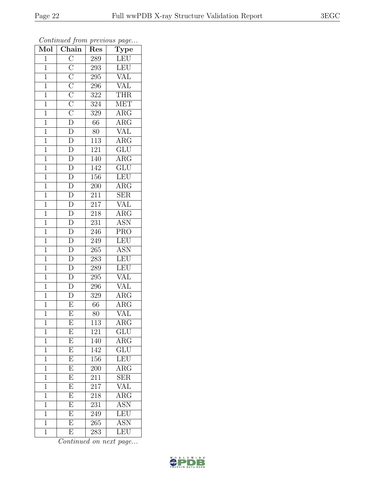| Mol            | $\mathbf{v}$<br>Chain                                                                                                                        | Res              | ÷,<br>$\cdot$<br>$\overline{\text{Type}}$ |
|----------------|----------------------------------------------------------------------------------------------------------------------------------------------|------------------|-------------------------------------------|
| $\mathbf{1}$   |                                                                                                                                              | 289              | LEU                                       |
| $\overline{1}$ |                                                                                                                                              | 293              | LEU                                       |
| $\overline{1}$ |                                                                                                                                              | 295              | VAL                                       |
| $\mathbf{1}$   |                                                                                                                                              | 296              | <b>VAL</b>                                |
| $\mathbf{1}$   |                                                                                                                                              | 322              | <b>THR</b>                                |
| $\mathbf 1$    |                                                                                                                                              | 324              | <b>MET</b>                                |
| $\mathbf{1}$   |                                                                                                                                              | 329              | $\rm{ARG}$                                |
| $\mathbf{1}$   |                                                                                                                                              | 66               | $\overline{\rm{ARG}}$                     |
| $\mathbf{1}$   | $\overline{C}\ \overline{C}\ \overline{C}\ \overline{C}\ \overline{C}\ \overline{C}\ \overline{D}\ \overline{D}\ \overline{D}\ \overline{D}$ | 80               | <b>VAL</b>                                |
| $\mathbf{1}$   |                                                                                                                                              | $\overline{113}$ | $\overline{\text{ARG}}$                   |
| $\mathbf{1}$   | $\overline{D}$                                                                                                                               | 121              | GLU                                       |
| $\overline{1}$ | $\overline{D}$                                                                                                                               | 140              | $\overline{\text{ARG}}$                   |
| $\overline{1}$ | $\frac{\overline{D}}{D}$                                                                                                                     | 142              | GLU                                       |
| $\mathbf{1}$   |                                                                                                                                              | 156              | LEU                                       |
| $\mathbf{1}$   | $\overline{\rm D}$                                                                                                                           | 200              | $\overline{\rm{ARG}}$                     |
| $\mathbf{1}$   | $\overline{\rm D}$                                                                                                                           | 211              | <b>SER</b>                                |
| $\overline{1}$ | $\frac{\overline{D}}{\overline{D}}$                                                                                                          | $\overline{217}$ | VAL                                       |
| $\mathbf{1}$   |                                                                                                                                              | 218              | $\rm{ARG}$                                |
| $\mathbf{1}$   | $\overline{\rm D}$                                                                                                                           | 231              | $\overline{\text{ASN}}$                   |
| $\mathbf{1}$   | $\overline{\rm D}$                                                                                                                           | 246              | $\overline{\text{PRO}}$                   |
| $\mathbf{1}$   | $\overline{\rm D}$                                                                                                                           | 249              | LEU                                       |
| $\overline{1}$ | $\overline{D}$                                                                                                                               | 265              | <b>ASN</b>                                |
| $\mathbf 1$    | $\overline{\rm D}$                                                                                                                           | 283              | LEU                                       |
| $\mathbf{1}$   | $\overline{D}$                                                                                                                               | 289              | <b>LEU</b>                                |
| $\mathbf{1}$   | $\overline{D}$                                                                                                                               | 295              | VAL                                       |
| $\mathbf{1}$   | $\overline{D}$                                                                                                                               | 296              | <b>VAL</b>                                |
| $\mathbf{1}$   | $\overline{\rm D}$                                                                                                                           | 329              | $\rm{ARG}$                                |
| $\mathbf{1}$   | $\overline{\mathrm{E}}$                                                                                                                      | 66               | $\rm{ARG}$                                |
| $\mathbf 1$    | $\overline{\mathrm{E}}$                                                                                                                      | 80               | $\overline{\text{VAL}}$                   |
| 1              | Ε                                                                                                                                            | 113              | $\rm{ARG}$                                |
| $\mathbf 1$    | E                                                                                                                                            | 121              | $\overline{\text{GLU}}$                   |
| $\mathbf 1$    | $\overline{E}$                                                                                                                               | 140              | $\overline{\rm{ARG}}$                     |
| 1              | E                                                                                                                                            | 142              | GLU                                       |
| $\mathbf 1$    | $\overline{\mathrm{E}}$                                                                                                                      | 156              | LEU                                       |
| $\mathbf 1$    | E                                                                                                                                            | 200              | $AR\overline{G}$                          |
| $\overline{1}$ | $\overline{\mathrm{E}}$                                                                                                                      | 211              | $\overline{\text{SER}}$                   |
| $\mathbf 1$    | $\overline{E}$                                                                                                                               | 217              | $\rm \overline{VAL}$                      |
| $\overline{1}$ | $\overline{\mathrm{E}}$                                                                                                                      | 218              | $\overline{\text{ARG}}$                   |
| 1              | $\overline{\mathrm{E}}$                                                                                                                      | 231              | <b>ASN</b>                                |
| 1              | $\overline{\mathrm{E}}$                                                                                                                      | 249              | <b>LEU</b>                                |
| $\overline{1}$ | $\overline{\mathrm{E}}$                                                                                                                      | 265              | $\overline{\text{ASN}}$                   |
| $\overline{1}$ | E                                                                                                                                            | 283              | LEU                                       |

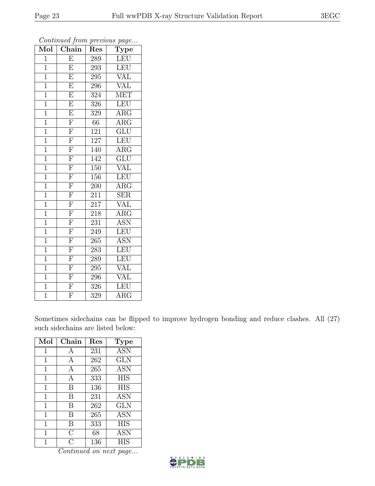| $\overline{\text{Mol}}$ | $\overline{v}$<br>Chain | x.<br>Res | $\mathbf{r}$<br>$\overline{v}$<br>Type |
|-------------------------|-------------------------|-----------|----------------------------------------|
| $\mathbf 1$             | $\overline{\mathrm{E}}$ | 289       | LEU                                    |
| $\overline{1}$          | $\overline{\mathrm{E}}$ | 293       | LEU                                    |
| $\mathbf{1}$            | $\overline{\mathrm{E}}$ | 295       | <b>VAL</b>                             |
| $\mathbf{1}$            | $\overline{\mathrm{E}}$ | 296       | <b>VAL</b>                             |
| $\overline{1}$          | $\overline{\mathrm{E}}$ | 324       | $ME\overline{T}$                       |
| $\mathbf{1}$            | $\overline{\mathrm{E}}$ | 326       | LEU                                    |
| $\mathbf{1}$            | $\overline{\mathrm{E}}$ | 329       | $\rm{ARG}$                             |
| $\overline{1}$          | $\overline{F}$          | 66        | $\rm{ARG}$                             |
| $\mathbf{1}$            | $\overline{F}$          | 121       | $\overline{\text{GLU}}$                |
| $\overline{1}$          | $\overline{F}$          | 127       | <b>LEU</b>                             |
| $\mathbf{1}$            | $\overline{\mathrm{F}}$ | 140       | $\rm{ARG}$                             |
| $\mathbf{1}$            | $\overline{\mathrm{F}}$ | 142       | $\overline{\text{GLU}}$                |
| $\mathbf{1}$            | $\overline{F}$          | 150       | VAL                                    |
| $\mathbf{1}$            | $\overline{F}$          | 156       | LEU                                    |
| $\mathbf{1}$            | $\overline{\mathrm{F}}$ | 200       | $\overline{\rm{ARG}}$                  |
| $\mathbf{1}$            | $\overline{\mathrm{F}}$ | 211       | $\overline{\text{SER}}$                |
| $\mathbf{1}$            | $\overline{F}$          | 217       | VAL                                    |
| $\mathbf{1}$            | $\overline{\mathrm{F}}$ | 218       | $\rm{ARG}$                             |
| $\mathbf{1}$            | $\overline{\mathrm{F}}$ | 231       | <b>ASN</b>                             |
| $\mathbf{1}$            | $\overline{F}$          | 249       | LEU                                    |
| $\mathbf{1}$            | $\overline{\mathrm{F}}$ | 265       | <b>ASN</b>                             |
| $\mathbf{1}$            | $\overline{F}$          | 283       | LEU                                    |
| $\mathbf{1}$            | $\overline{F}$          | 289       | LEU                                    |
| $\overline{1}$          | $\overline{\mathrm{F}}$ | 295       | $\overline{\text{VAL}}$                |
| $\mathbf{1}$            | $\overline{F}$          | 296       | VAL                                    |
| $\mathbf{1}$            | $\overline{\mathrm{F}}$ | 326       | LEU                                    |
| $\overline{1}$          | $\overline{\mathrm{F}}$ | 329       | $\overline{\rm{ARG}}$                  |

Sometimes sidechains can be flipped to improve hydrogen bonding and reduce clashes. All (27) such sidechains are listed below:

| Mol            | Chain          | Res | <b>Type</b> |
|----------------|----------------|-----|-------------|
| 1              | А              | 231 | <b>ASN</b>  |
| 1              | A              | 262 | <b>GLN</b>  |
| 1              | А              | 265 | <b>ASN</b>  |
| 1              | А              | 333 | <b>HIS</b>  |
| 1              | B              | 136 | <b>HIS</b>  |
| 1              | B              | 231 | <b>ASN</b>  |
| 1              | B              | 262 | <b>GLN</b>  |
| 1              | В              | 265 | <b>ASN</b>  |
| 1              | B              | 333 | <b>HIS</b>  |
| $\overline{1}$ | $\overline{C}$ | 68  | ASN         |
| 1              | $\cap$         | 136 | <b>HIS</b>  |

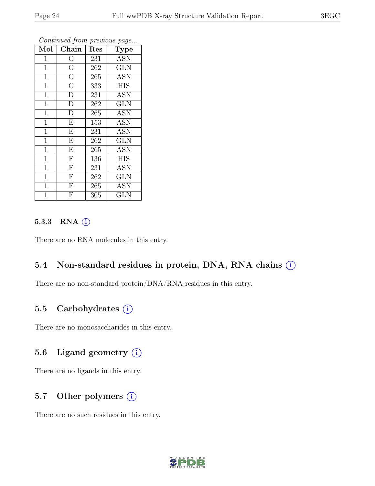| Mol            | Chain                   | Res | Type       |
|----------------|-------------------------|-----|------------|
| $\mathbf{1}$   | $\overline{C}$          | 231 | <b>ASN</b> |
| $\mathbf{1}$   | $\overline{C}$          | 262 | <b>GLN</b> |
| $\mathbf{1}$   | $\overline{C}$          | 265 | <b>ASN</b> |
| $\mathbf{1}$   | $\overline{C}$          | 333 | <b>HIS</b> |
| $\mathbf{1}$   | $\overline{D}$          | 231 | <b>ASN</b> |
| $\mathbf{1}$   | $\overline{\rm D}$      | 262 | <b>GLN</b> |
| $\mathbf{1}$   | $\overline{\rm D}$      | 265 | <b>ASN</b> |
| $\mathbf{1}$   | $\overline{\mathrm{E}}$ | 153 | <b>ASN</b> |
| $\mathbf{1}$   | $\overline{E}$          | 231 | <b>ASN</b> |
| $\mathbf{1}$   | E                       | 262 | <b>GLN</b> |
| $\mathbf{1}$   | $\overline{E}$          | 265 | <b>ASN</b> |
| $\overline{1}$ | $\overline{\mathrm{F}}$ | 136 | <b>HIS</b> |
| $\mathbf{1}$   | $\mathbf F$             | 231 | <b>ASN</b> |
| $\mathbf{1}$   | $\overline{F}$          | 262 | <b>GLN</b> |
| $\mathbf{1}$   | $\overline{F}$          | 265 | <b>ASN</b> |
| 1              | $\mathbf{F}$            | 305 | <b>GLN</b> |

#### 5.3.3 RNA  $(i)$

There are no RNA molecules in this entry.

#### 5.4 Non-standard residues in protein, DNA, RNA chains (i)

There are no non-standard protein/DNA/RNA residues in this entry.

#### 5.5 Carbohydrates  $(i)$

There are no monosaccharides in this entry.

## 5.6 Ligand geometry  $(i)$

There are no ligands in this entry.

### 5.7 Other polymers  $(i)$

There are no such residues in this entry.

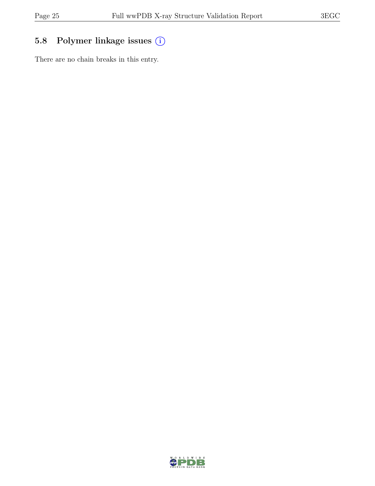# 5.8 Polymer linkage issues (i)

There are no chain breaks in this entry.